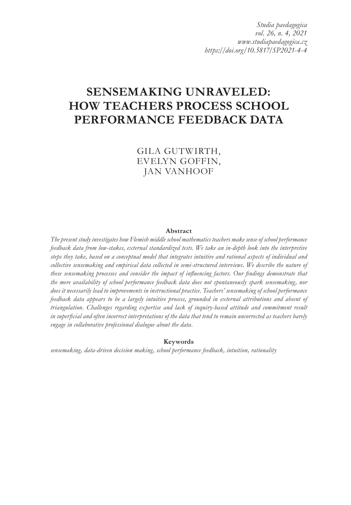*Studia paedagogica vol. 26, n. 4, 2021 www.studiapaedagogica.cz https://doi.org/10.5817/SP2021-4-4*

# **SENSEMAKING UNRAVELED: HOW TEACHERS PROCESS SCHOOL PERFORMANCE FEEDBACK DATA**

GILA GUTWIRTH, EVELYN GOFFIN, JAN VANHOOF

#### **Abstract**

*The present study investigates how Flemish middle school mathematics teachers make sense of school performance feedback data from low-stakes, external standardized tests. We take an in-depth look into the interpretive steps they take, based on a conceptual model that integrates intuitive and rational aspects of individual and collective sensemaking and empirical data collected in semi-structured interviews. We describe the nature of these sensemaking processes and consider the impact of influencing factors. Our findings demonstrate that the mere availability of school performance feedback data does not spontaneously spark sensemaking, nor does it necessarily lead to improvements in instructional practice. Teachers' sensemaking of school performance feedback data appears to be a largely intuitive process, grounded in external attributions and absent of triangulation. Challenges regarding expertise and lack of inquiry-based attitude and commitment result in superficial and often incorrect interpretations of the data that tend to remain uncorrected as teachers barely engage in collaborative professional dialogue about the data.* 

#### **Keywords**

*sensemaking, data-driven decision making, school performance feedback, intuition, rationality*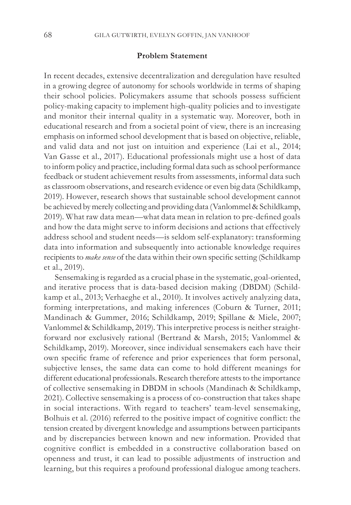#### **Problem Statement**

In recent decades, extensive decentralization and deregulation have resulted in a growing degree of autonomy for schools worldwide in terms of shaping their school policies. Policymakers assume that schools possess sufficient policy-making capacity to implement high-quality policies and to investigate and monitor their internal quality in a systematic way. Moreover, both in educational research and from a societal point of view, there is an increasing emphasis on informed school development that is based on objective, reliable, and valid data and not just on intuition and experience (Lai et al., 2014; Van Gasse et al., 2017). Educational professionals might use a host of data to inform policy and practice, including formal data such as school performance feedback or student achievement results from assessments, informal data such as classroom observations, and research evidence or even big data (Schildkamp, 2019). However, research shows that sustainable school development cannot be achieved by merely collecting and providing data (Vanlommel & Schildkamp, 2019). What raw data mean—what data mean in relation to pre-defined goals and how the data might serve to inform decisions and actions that effectively address school and student needs—is seldom self-explanatory: transforming data into information and subsequently into actionable knowledge requires recipients to *make sense* of the data within their own specific setting (Schildkamp et al., 2019).

Sensemaking is regarded as a crucial phase in the systematic, goal-oriented, and iterative process that is data-based decision making (DBDM) (Schildkamp et al., 2013; Verhaeghe et al., 2010). It involves actively analyzing data, forming interpretations, and making inferences (Coburn & Turner, 2011; Mandinach & Gummer, 2016; Schildkamp, 2019; Spillane & Miele, 2007; Vanlommel & Schildkamp, 2019). This interpretive process is neither straightforward nor exclusively rational (Bertrand & Marsh, 2015; Vanlommel & Schildkamp, 2019). Moreover, since individual sensemakers each have their own specific frame of reference and prior experiences that form personal, subjective lenses, the same data can come to hold different meanings for different educational professionals. Research therefore attests to the importance of collective sensemaking in DBDM in schools (Mandinach & Schildkamp, 2021). Collective sensemaking is a process of co-construction that takes shape in social interactions. With regard to teachers' team-level sensemaking, Bolhuis et al. (2016) referred to the positive impact of cognitive conflict: the tension created by divergent knowledge and assumptions between participants and by discrepancies between known and new information. Provided that cognitive conflict is embedded in a constructive collaboration based on openness and trust, it can lead to possible adjustments of instruction and learning, but this requires a profound professional dialogue among teachers.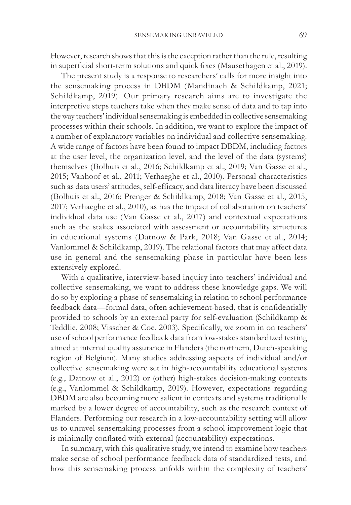However, research shows that this is the exception rather than the rule, resulting in superficial short-term solutions and quick fixes (Mausethagen et al., 2019).

The present study is a response to researchers' calls for more insight into the sensemaking process in DBDM (Mandinach & Schildkamp, 2021; Schildkamp, 2019). Our primary research aims are to investigate the interpretive steps teachers take when they make sense of data and to tap into the way teachers' individual sensemaking is embedded in collective sensemaking processes within their schools. In addition, we want to explore the impact of a number of explanatory variables on individual and collective sensemaking. A wide range of factors have been found to impact DBDM, including factors at the user level, the organization level, and the level of the data (systems) themselves (Bolhuis et al., 2016; Schildkamp et al., 2019; Van Gasse et al., 2015; Vanhoof et al., 2011; Verhaeghe et al., 2010). Personal characteristics such as data users' attitudes, self-efficacy, and data literacy have been discussed (Bolhuis et al., 2016; Prenger & Schildkamp, 2018; Van Gasse et al., 2015, 2017; Verhaeghe et al., 2010), as has the impact of collaboration on teachers' individual data use (Van Gasse et al., 2017) and contextual expectations such as the stakes associated with assessment or accountability structures in educational systems (Datnow & Park, 2018; Van Gasse et al., 2014; Vanlommel & Schildkamp, 2019). The relational factors that may affect data use in general and the sensemaking phase in particular have been less extensively explored.

With a qualitative, interview-based inquiry into teachers' individual and collective sensemaking, we want to address these knowledge gaps. We will do so by exploring a phase of sensemaking in relation to school performance feedback data—formal data, often achievement-based, that is confidentially provided to schools by an external party for self-evaluation (Schildkamp & Teddlie, 2008; Visscher & Coe, 2003). Specifically, we zoom in on teachers' use of school performance feedback data from low-stakes standardized testing aimed at internal quality assurance in Flanders (the northern, Dutch-speaking region of Belgium). Many studies addressing aspects of individual and/or collective sensemaking were set in high-accountability educational systems (e.g., Datnow et al., 2012) or (other) high-stakes decision-making contexts (e.g., Vanlommel & Schildkamp, 2019). However, expectations regarding DBDM are also becoming more salient in contexts and systems traditionally marked by a lower degree of accountability, such as the research context of Flanders. Performing our research in a low-accountability setting will allow us to unravel sensemaking processes from a school improvement logic that is minimally conflated with external (accountability) expectations.

In summary, with this qualitative study, we intend to examine how teachers make sense of school performance feedback data of standardized tests, and how this sensemaking process unfolds within the complexity of teachers'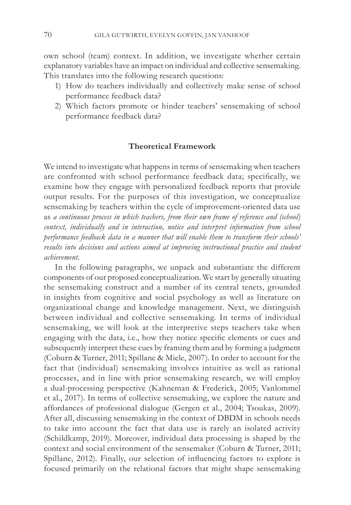own school (team) context. In addition, we investigate whether certain explanatory variables have an impact on individual and collective sensemaking. This translates into the following research questions:

- 1) How do teachers individually and collectively make sense of school performance feedback data?
- 2) Which factors promote or hinder teachers' sensemaking of school performance feedback data?

#### **Theoretical Framework**

We intend to investigate what happens in terms of sensemaking when teachers are confronted with school performance feedback data; specifically, we examine how they engage with personalized feedback reports that provide output results. For the purposes of this investigation, we conceptualize sensemaking by teachers within the cycle of improvement-oriented data use as *a continuous process in which teachers, from their own frame of reference and (school) context, individually and in interaction, notice and interpret information from school performance feedback data in a manner that will enable them to transform their schools' results into decisions and actions aimed at improving instructional practice and student achievement.* 

In the following paragraphs, we unpack and substantiate the different components of our proposed conceptualization. We start by generally situating the sensemaking construct and a number of its central tenets, grounded in insights from cognitive and social psychology as well as literature on organizational change and knowledge management. Next, we distinguish between individual and collective sensemaking. In terms of individual sensemaking, we will look at the interpretive steps teachers take when engaging with the data, i.e., how they notice specific elements or cues and subsequently interpret these cues by framing them and by forming a judgment (Coburn & Turner, 2011; Spillane & Miele, 2007). In order to account for the fact that (individual) sensemaking involves intuitive as well as rational processes, and in line with prior sensemaking research, we will employ a dual-processing perspective (Kahneman & Frederick, 2005; Vanlommel et al., 2017). In terms of collective sensemaking, we explore the nature and affordances of professional dialogue (Gergen et al., 2004; Tsoukas, 2009). After all, discussing sensemaking in the context of DBDM in schools needs to take into account the fact that data use is rarely an isolated activity (Schildkamp, 2019). Moreover, individual data processing is shaped by the context and social environment of the sensemaker (Coburn & Turner, 2011; Spillane, 2012). Finally, our selection of influencing factors to explore is focused primarily on the relational factors that might shape sensemaking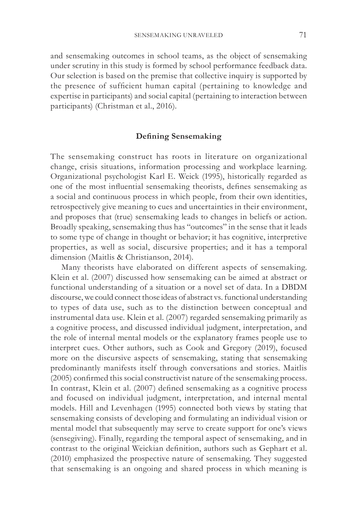and sensemaking outcomes in school teams, as the object of sensemaking under scrutiny in this study is formed by school performance feedback data. Our selection is based on the premise that collective inquiry is supported by the presence of sufficient human capital (pertaining to knowledge and expertise in participants) and social capital (pertaining to interaction between participants) (Christman et al., 2016).

#### **Defining Sensemaking**

The sensemaking construct has roots in literature on organizational change, crisis situations, information processing and workplace learning. Organizational psychologist Karl E. Weick (1995), historically regarded as one of the most influential sensemaking theorists, defines sensemaking as a social and continuous process in which people, from their own identities, retrospectively give meaning to cues and uncertainties in their environment, and proposes that (true) sensemaking leads to changes in beliefs or action. Broadly speaking, sensemaking thus has "outcomes" in the sense that it leads to some type of change in thought or behavior; it has cognitive, interpretive properties, as well as social, discursive properties; and it has a temporal dimension (Maitlis & Christianson, 2014).

Many theorists have elaborated on different aspects of sensemaking. Klein et al. (2007) discussed how sensemaking can be aimed at abstract or functional understanding of a situation or a novel set of data. In a DBDM discourse, we could connect those ideas of abstract vs. functional understanding to types of data use, such as to the distinction between conceptual and instrumental data use. Klein et al. (2007) regarded sensemaking primarily as a cognitive process, and discussed individual judgment, interpretation, and the role of internal mental models or the explanatory frames people use to interpret cues. Other authors, such as Cook and Gregory (2019), focused more on the discursive aspects of sensemaking, stating that sensemaking predominantly manifests itself through conversations and stories. Maitlis (2005) confirmed this social constructivist nature of the sensemaking process. In contrast, Klein et al. (2007) defined sensemaking as a cognitive process and focused on individual judgment, interpretation, and internal mental models. Hill and Levenhagen (1995) connected both views by stating that sensemaking consists of developing and formulating an individual vision or mental model that subsequently may serve to create support for one's views (sensegiving). Finally, regarding the temporal aspect of sensemaking, and in contrast to the original Weickian definition, authors such as Gephart et al. (2010) emphasized the prospective nature of sensemaking. They suggested that sensemaking is an ongoing and shared process in which meaning is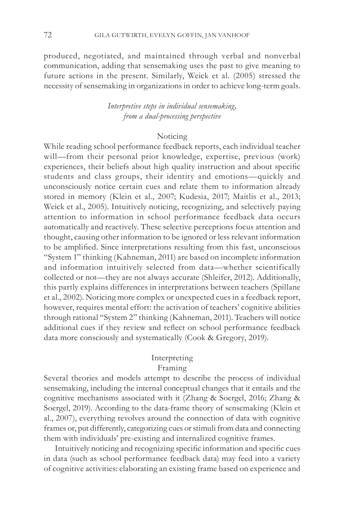produced, negotiated, and maintained through verbal and nonverbal communication, adding that sensemaking uses the past to give meaning to future actions in the present. Similarly, Weick et al. (2005) stressed the necessity of sensemaking in organizations in order to achieve long-term goals.

> *Interpretive steps in individual sensemaking, from a dual-processing perspective*

#### Noticing

While reading school performance feedback reports, each individual teacher will—from their personal prior knowledge, expertise, previous (work) experiences, their beliefs about high quality instruction and about specific students and class groups, their identity and emotions—quickly and unconsciously notice certain cues and relate them to information already stored in memory (Klein et al., 2007; Kudesia, 2017; Maitlis et al., 2013; Weick et al., 2005). Intuitively noticing, recognizing, and selectively paying attention to information in school performance feedback data occurs automatically and reactively. These selective perceptions focus attention and thought, causing other information to be ignored or less relevant information to be amplified. Since interpretations resulting from this fast, unconscious "System 1" thinking (Kahneman, 2011) are based on incomplete information and information intuitively selected from data—whether scientifically collected or not—they are not always accurate (Shleifer, 2012). Additionally, this partly explains differences in interpretations between teachers (Spillane et al., 2002). Noticing more complex or unexpected cues in a feedback report, however, requires mental effort: the activation of teachers' cognitive abilities through rational "System 2" thinking (Kahneman, 2011). Teachers will notice additional cues if they review and reflect on school performance feedback data more consciously and systematically (Cook & Gregory, 2019).

# Interpreting

# Framing

Several theories and models attempt to describe the process of individual sensemaking, including the internal conceptual changes that it entails and the cognitive mechanisms associated with it (Zhang & Soergel, 2016; Zhang & Soergel, 2019). According to the data-frame theory of sensemaking (Klein et al., 2007), everything revolves around the connection of data with cognitive frames or, put differently, categorizing cues or stimuli from data and connecting them with individuals' pre-existing and internalized cognitive frames.

Intuitively noticing and recognizing specific information and specific cues in data (such as school performance feedback data) may feed into a variety of cognitive activities: elaborating an existing frame based on experience and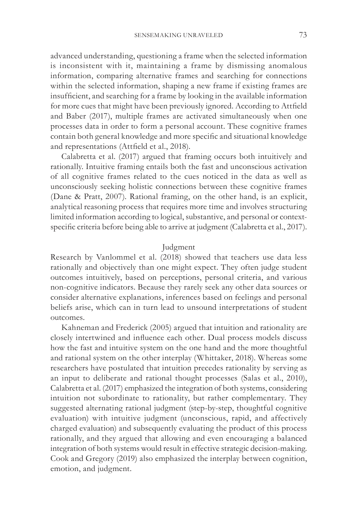advanced understanding, questioning a frame when the selected information is inconsistent with it, maintaining a frame by dismissing anomalous information, comparing alternative frames and searching for connections within the selected information, shaping a new frame if existing frames are insufficient, and searching for a frame by looking in the available information for more cues that might have been previously ignored. According to Attfield and Baber (2017), multiple frames are activated simultaneously when one processes data in order to form a personal account. These cognitive frames contain both general knowledge and more specific and situational knowledge and representations (Attfield et al., 2018).

Calabretta et al. (2017) argued that framing occurs both intuitively and rationally. Intuitive framing entails both the fast and unconscious activation of all cognitive frames related to the cues noticed in the data as well as unconsciously seeking holistic connections between these cognitive frames (Dane & Pratt, 2007). Rational framing, on the other hand, is an explicit, analytical reasoning process that requires more time and involves structuring limited information according to logical, substantive, and personal or contextspecific criteria before being able to arrive at judgment (Calabretta et al., 2017).

#### Judgment

Research by Vanlommel et al. (2018) showed that teachers use data less rationally and objectively than one might expect. They often judge student outcomes intuitively, based on perceptions, personal criteria, and various non-cognitive indicators. Because they rarely seek any other data sources or consider alternative explanations, inferences based on feelings and personal beliefs arise, which can in turn lead to unsound interpretations of student outcomes.

Kahneman and Frederick (2005) argued that intuition and rationality are closely intertwined and influence each other. Dual process models discuss how the fast and intuitive system on the one hand and the more thoughtful and rational system on the other interplay (Whittaker, 2018). Whereas some researchers have postulated that intuition precedes rationality by serving as an input to deliberate and rational thought processes (Salas et al., 2010), Calabretta et al. (2017) emphasized the integration of both systems, considering intuition not subordinate to rationality, but rather complementary. They suggested alternating rational judgment (step-by-step, thoughtful cognitive evaluation) with intuitive judgment (unconscious, rapid, and affectively charged evaluation) and subsequently evaluating the product of this process rationally, and they argued that allowing and even encouraging a balanced integration of both systems would result in effective strategic decision-making. Cook and Gregory (2019) also emphasized the interplay between cognition, emotion, and judgment.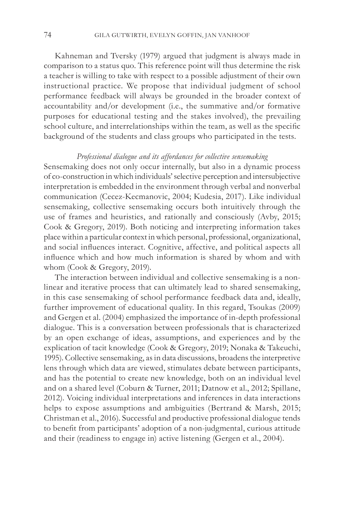Kahneman and Tversky (1979) argued that judgment is always made in comparison to a status quo. This reference point will thus determine the risk a teacher is willing to take with respect to a possible adjustment of their own instructional practice. We propose that individual judgment of school performance feedback will always be grounded in the broader context of accountability and/or development (i.e., the summative and/or formative purposes for educational testing and the stakes involved), the prevailing school culture, and interrelationships within the team, as well as the specific background of the students and class groups who participated in the tests.

## *Professional dialogue and its affordances for collective sensemaking*

Sensemaking does not only occur internally, but also in a dynamic process of co-construction in which individuals' selective perception and intersubjective interpretation is embedded in the environment through verbal and nonverbal communication (Cecez-Kecmanovic, 2004; Kudesia, 2017). Like individual sensemaking, collective sensemaking occurs both intuitively through the use of frames and heuristics, and rationally and consciously (Avby, 2015; Cook & Gregory, 2019). Both noticing and interpreting information takes place within a particular context in which personal, professional, organizational, and social influences interact. Cognitive, affective, and political aspects all influence which and how much information is shared by whom and with whom (Cook & Gregory, 2019).

The interaction between individual and collective sensemaking is a nonlinear and iterative process that can ultimately lead to shared sensemaking, in this case sensemaking of school performance feedback data and, ideally, further improvement of educational quality. In this regard, Tsoukas (2009) and Gergen et al. (2004) emphasized the importance of in-depth professional dialogue. This is a conversation between professionals that is characterized by an open exchange of ideas, assumptions, and experiences and by the explication of tacit knowledge (Cook & Gregory, 2019; Nonaka & Takeuchi, 1995). Collective sensemaking, as in data discussions, broadens the interpretive lens through which data are viewed, stimulates debate between participants, and has the potential to create new knowledge, both on an individual level and on a shared level (Coburn & Turner, 2011; Datnow et al., 2012; Spillane, 2012). Voicing individual interpretations and inferences in data interactions helps to expose assumptions and ambiguities (Bertrand & Marsh, 2015; Christman et al., 2016). Successful and productive professional dialogue tends to benefit from participants' adoption of a non-judgmental, curious attitude and their (readiness to engage in) active listening (Gergen et al., 2004).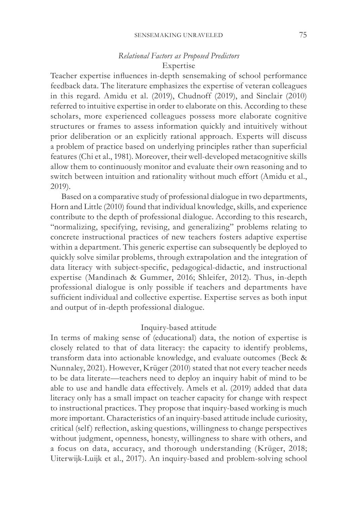# *Relational Factors as Proposed Predictors* Expertise

Teacher expertise influences in-depth sensemaking of school performance feedback data. The literature emphasizes the expertise of veteran colleagues in this regard. Amidu et al. (2019), Chudnoff (2019), and Sinclair (2010) referred to intuitive expertise in order to elaborate on this. According to these scholars, more experienced colleagues possess more elaborate cognitive structures or frames to assess information quickly and intuitively without prior deliberation or an explicitly rational approach. Experts will discuss a problem of practice based on underlying principles rather than superficial features (Chi et al., 1981). Moreover, their well-developed metacognitive skills allow them to continuously monitor and evaluate their own reasoning and to switch between intuition and rationality without much effort (Amidu et al., 2019).

Based on a comparative study of professional dialogue in two departments, Horn and Little (2010) found that individual knowledge, skills, and experience contribute to the depth of professional dialogue. According to this research, "normalizing, specifying, revising, and generalizing" problems relating to concrete instructional practices of new teachers fosters adaptive expertise within a department. This generic expertise can subsequently be deployed to quickly solve similar problems, through extrapolation and the integration of data literacy with subject-specific, pedagogical-didactic, and instructional expertise (Mandinach & Gummer, 2016; Shleifer, 2012). Thus, in-depth professional dialogue is only possible if teachers and departments have sufficient individual and collective expertise. Expertise serves as both input and output of in-depth professional dialogue.

# Inquiry-based attitude

In terms of making sense of (educational) data, the notion of expertise is closely related to that of data literacy: the capacity to identify problems, transform data into actionable knowledge, and evaluate outcomes (Beck & Nunnaley, 2021). However, Krüger (2010) stated that not every teacher needs to be data literate—teachers need to deploy an inquiry habit of mind to be able to use and handle data effectively. Amels et al. (2019) added that data literacy only has a small impact on teacher capacity for change with respect to instructional practices. They propose that inquiry-based working is much more important. Characteristics of an inquiry-based attitude include curiosity, critical (self) reflection, asking questions, willingness to change perspectives without judgment, openness, honesty, willingness to share with others, and a focus on data, accuracy, and thorough understanding (Krüger, 2018; Uiterwijk-Luijk et al., 2017). An inquiry-based and problem-solving school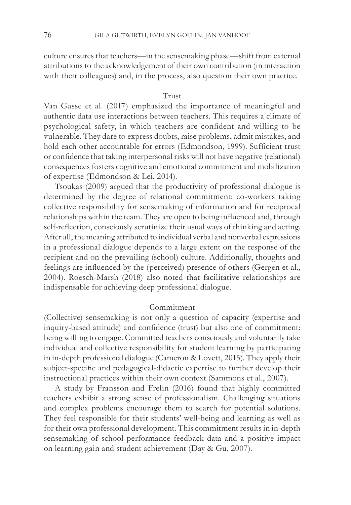culture ensures that teachers—in the sensemaking phase—shift from external attributions to the acknowledgement of their own contribution (in interaction with their colleagues) and, in the process, also question their own practice.

## Trust

Van Gasse et al. (2017) emphasized the importance of meaningful and authentic data use interactions between teachers. This requires a climate of psychological safety, in which teachers are confident and willing to be vulnerable. They dare to express doubts, raise problems, admit mistakes, and hold each other accountable for errors (Edmondson, 1999). Sufficient trust or confidence that taking interpersonal risks will not have negative (relational) consequences fosters cognitive and emotional commitment and mobilization of expertise (Edmondson & Lei, 2014).

Tsoukas (2009) argued that the productivity of professional dialogue is determined by the degree of relational commitment: co-workers taking collective responsibility for sensemaking of information and for reciprocal relationships within the team. They are open to being influenced and, through self-reflection, consciously scrutinize their usual ways of thinking and acting. After all, the meaning attributed to individual verbal and nonverbal expressions in a professional dialogue depends to a large extent on the response of the recipient and on the prevailing (school) culture. Additionally, thoughts and feelings are influenced by the (perceived) presence of others (Gergen et al., 2004). Roesch-Marsh (2018) also noted that facilitative relationships are indispensable for achieving deep professional dialogue.

#### Commitment

(Collective) sensemaking is not only a question of capacity (expertise and inquiry-based attitude) and confidence (trust) but also one of commitment: being willing to engage. Committed teachers consciously and voluntarily take individual and collective responsibility for student learning by participating in in-depth professional dialogue (Cameron & Lovett, 2015). They apply their subject-specific and pedagogical-didactic expertise to further develop their instructional practices within their own context (Sammons et al., 2007).

A study by Fransson and Frelin (2016) found that highly committed teachers exhibit a strong sense of professionalism. Challenging situations and complex problems encourage them to search for potential solutions. They feel responsible for their students' well-being and learning as well as for their own professional development. This commitment results in in-depth sensemaking of school performance feedback data and a positive impact on learning gain and student achievement (Day & Gu, 2007).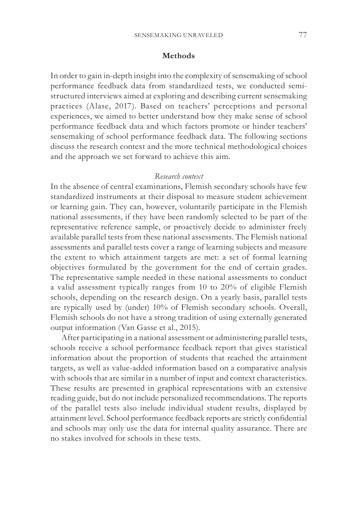#### **Methods**

In order to gain in-depth insight into the complexity of sensemaking of school performance feedback data from standardized tests, we conducted semistructured interviews aimed at exploring and describing current sensemaking practices (Alase, 2017). Based on teachers' perceptions and personal experiences, we aimed to better understand how they make sense of school performance feedback data and which factors promote or hinder teachers' sensemaking of school performance feedback data. The following sections discuss the research context and the more technical methodological choices and the approach we set forward to achieve this aim.

#### *Research context*

In the absence of central examinations, Flemish secondary schools have few standardized instruments at their disposal to measure student achievement or learning gain. They can, however, voluntarily participate in the Flemish national assessments, if they have been randomly selected to be part of the representative reference sample, or proactively decide to administer freely available parallel tests from these national assessments. The Flemish national assessments and parallel tests cover a range of learning subjects and measure the extent to which attainment targets are met: a set of formal learning objectives formulated by the government for the end of certain grades. The representative sample needed in these national assessments to conduct a valid assessment typically ranges from 10 to 20% of eligible Flemish schools, depending on the research design. On a yearly basis, parallel tests are typically used by (under) 10% of Flemish secondary schools. Overall, Flemish schools do not have a strong tradition of using externally generated output information (Van Gasse et al., 2015).

After participating in a national assessment or administering parallel tests, schools receive a school performance feedback report that gives statistical information about the proportion of students that reached the attainment targets, as well as value-added information based on a comparative analysis with schools that are similar in a number of input and context characteristics. These results are presented in graphical representations with an extensive reading guide, but do not include personalized recommendations. The reports of the parallel tests also include individual student results, displayed by attainment level. School performance feedback reports are strictly confidential and schools may only use the data for internal quality assurance. There are no stakes involved for schools in these tests.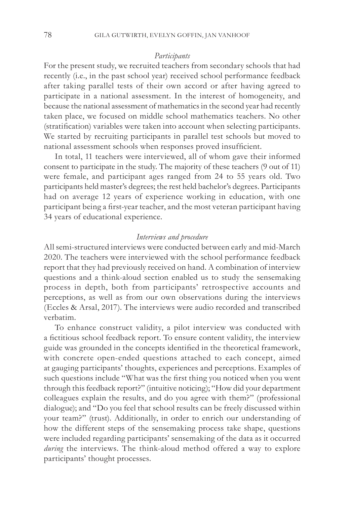#### *Participants*

For the present study, we recruited teachers from secondary schools that had recently (i.e., in the past school year) received school performance feedback after taking parallel tests of their own accord or after having agreed to participate in a national assessment. In the interest of homogeneity, and because the national assessment of mathematics in the second year had recently taken place, we focused on middle school mathematics teachers. No other (stratification) variables were taken into account when selecting participants. We started by recruiting participants in parallel test schools but moved to national assessment schools when responses proved insufficient.

In total, 11 teachers were interviewed, all of whom gave their informed consent to participate in the study. The majority of these teachers (9 out of 11) were female, and participant ages ranged from 24 to 55 years old. Two participants held master's degrees; the rest held bachelor's degrees. Participants had on average 12 years of experience working in education, with one participant being a first-year teacher, and the most veteran participant having 34 years of educational experience.

#### *Interviews and procedure*

All semi-structured interviews were conducted between early and mid-March 2020. The teachers were interviewed with the school performance feedback report that they had previously received on hand. A combination of interview questions and a think-aloud section enabled us to study the sensemaking process in depth, both from participants' retrospective accounts and perceptions, as well as from our own observations during the interviews (Eccles & Arsal, 2017). The interviews were audio recorded and transcribed verbatim.

To enhance construct validity, a pilot interview was conducted with a fictitious school feedback report. To ensure content validity, the interview guide was grounded in the concepts identified in the theoretical framework, with concrete open-ended questions attached to each concept, aimed at gauging participants' thoughts, experiences and perceptions. Examples of such questions include "What was the first thing you noticed when you went through this feedback report?" (intuitive noticing); "How did your department colleagues explain the results, and do you agree with them?" (professional dialogue); and "Do you feel that school results can be freely discussed within your team?" (trust). Additionally, in order to enrich our understanding of how the different steps of the sensemaking process take shape, questions were included regarding participants' sensemaking of the data as it occurred *during* the interviews. The think-aloud method offered a way to explore participants' thought processes.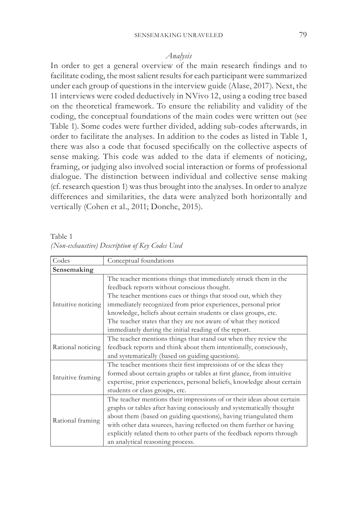#### *Analysis*

In order to get a general overview of the main research findings and to facilitate coding, the most salient results for each participant were summarized under each group of questions in the interview guide (Alase, 2017). Next, the 11 interviews were coded deductively in NVivo 12, using a coding tree based on the theoretical framework. To ensure the reliability and validity of the coding, the conceptual foundations of the main codes were written out (see Table 1). Some codes were further divided, adding sub-codes afterwards, in order to facilitate the analyses. In addition to the codes as listed in Table 1, there was also a code that focused specifically on the collective aspects of sense making. This code was added to the data if elements of noticing, framing, or judging also involved social interaction or forms of professional dialogue. The distinction between individual and collective sense making (cf. research question 1) was thus brought into the analyses. In order to analyze differences and similarities, the data were analyzed both horizontally and vertically (Cohen et al., 2011; Donche, 2015).

Table 1 *(Non-exhaustive) Description of Key Codes Used*

| Codes              | Conceptual foundations                                                                                                                                                                                                                                                                                                                                                                                   |  |  |  |  |
|--------------------|----------------------------------------------------------------------------------------------------------------------------------------------------------------------------------------------------------------------------------------------------------------------------------------------------------------------------------------------------------------------------------------------------------|--|--|--|--|
| Sensemaking        |                                                                                                                                                                                                                                                                                                                                                                                                          |  |  |  |  |
| Intuitive noticing | The teacher mentions things that immediately struck them in the<br>feedback reports without conscious thought.<br>The teacher mentions cues or things that stood out, which they<br>immediately recognized from prior experiences, personal prior<br>knowledge, beliefs about certain students or class groups, etc.                                                                                     |  |  |  |  |
|                    | The teacher states that they are not aware of what they noticed<br>immediately during the initial reading of the report.                                                                                                                                                                                                                                                                                 |  |  |  |  |
| Rational noticing  | The teacher mentions things that stand out when they review the<br>feedback reports and think about them intentionally, consciously,<br>and systematically (based on guiding questions).                                                                                                                                                                                                                 |  |  |  |  |
| Intuitive framing  | The teacher mentions their first impressions of or the ideas they<br>formed about certain graphs or tables at first glance, from intuitive<br>expertise, prior experiences, personal beliefs, knowledge about certain<br>students or class groups, etc.                                                                                                                                                  |  |  |  |  |
| Rational framing   | The teacher mentions their impressions of or their ideas about certain<br>graphs or tables after having consciously and systematically thought<br>about them (based on guiding questions), having triangulated them<br>with other data sources, having reflected on them further or having<br>explicitly related them to other parts of the feedback reports through<br>an analytical reasoning process. |  |  |  |  |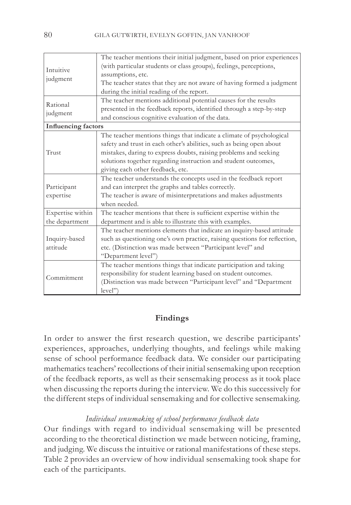| Intuitive<br>judgment                              | The teacher mentions their initial judgment, based on prior experiences<br>(with particular students or class groups), feelings, perceptions,<br>assumptions, etc.<br>The teacher states that they are not aware of having formed a judgment<br>during the initial reading of the report.                              |  |  |  |  |
|----------------------------------------------------|------------------------------------------------------------------------------------------------------------------------------------------------------------------------------------------------------------------------------------------------------------------------------------------------------------------------|--|--|--|--|
| Rational<br>judgment<br><b>Influencing factors</b> | The teacher mentions additional potential causes for the results<br>presented in the feedback reports, identified through a step-by-step<br>and conscious cognitive evaluation of the data.                                                                                                                            |  |  |  |  |
| Trust                                              | The teacher mentions things that indicate a climate of psychological<br>safety and trust in each other's abilities, such as being open about<br>mistakes, daring to express doubts, raising problems and seeking<br>solutions together regarding instruction and student outcomes,<br>giving each other feedback, etc. |  |  |  |  |
| Participant<br>expertise                           | The teacher understands the concepts used in the feedback report<br>and can interpret the graphs and tables correctly.<br>The teacher is aware of misinterpretations and makes adjustments<br>when needed.                                                                                                             |  |  |  |  |
| Expertise within<br>the department                 | The teacher mentions that there is sufficient expertise within the<br>department and is able to illustrate this with examples.                                                                                                                                                                                         |  |  |  |  |
| Inquiry-based<br>attitude                          | The teacher mentions elements that indicate an inquiry-based attitude<br>such as questioning one's own practice, raising questions for reflection,<br>etc. (Distinction was made between "Participant level" and<br>"Department level")                                                                                |  |  |  |  |
| Commitment                                         | The teacher mentions things that indicate participation and taking<br>responsibility for student learning based on student outcomes.<br>(Distinction was made between "Participant level" and "Department<br>level")                                                                                                   |  |  |  |  |

## **Findings**

In order to answer the first research question, we describe participants' experiences, approaches, underlying thoughts, and feelings while making sense of school performance feedback data. We consider our participating mathematics teachers' recollections of their initial sensemaking upon reception of the feedback reports, as well as their sensemaking process as it took place when discussing the reports during the interview. We do this successively for the different steps of individual sensemaking and for collective sensemaking.

## *Individual sensemaking of school performance feedback data*

Our findings with regard to individual sensemaking will be presented according to the theoretical distinction we made between noticing, framing, and judging. We discuss the intuitive or rational manifestations of these steps. Table 2 provides an overview of how individual sensemaking took shape for each of the participants.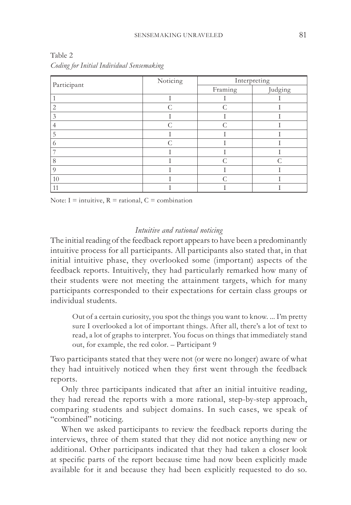| Participant    | Noticing  | Interpreting  |           |  |
|----------------|-----------|---------------|-----------|--|
|                |           | Framing       | Judging   |  |
|                |           |               |           |  |
| $\overline{2}$ | $\subset$ | $\subset$     |           |  |
| 3              |           |               |           |  |
| 4              | C         | $\mathcal{C}$ |           |  |
| 5              |           |               |           |  |
| 6              | ⌒         |               |           |  |
| ⇁              |           |               |           |  |
| 8              |           | $\subset$     | $\subset$ |  |
| $\Omega$       |           |               |           |  |
| 10             |           |               |           |  |
| 11             |           |               |           |  |

Table 2 *Coding for Initial Individual Sensemaking*

Note:  $I =$  intuitive,  $R =$  rational,  $C =$  combination

#### *Intuitive and rational noticing*

The initial reading of the feedback report appears to have been a predominantly intuitive process for all participants. All participants also stated that, in that initial intuitive phase, they overlooked some (important) aspects of the feedback reports. Intuitively, they had particularly remarked how many of their students were not meeting the attainment targets, which for many participants corresponded to their expectations for certain class groups or individual students.

Out of a certain curiosity, you spot the things you want to know. ... I'm pretty sure I overlooked a lot of important things. After all, there's a lot of text to read, a lot of graphs to interpret. You focus on things that immediately stand out, for example, the red color. – Participant 9

Two participants stated that they were not (or were no longer) aware of what they had intuitively noticed when they first went through the feedback reports.

Only three participants indicated that after an initial intuitive reading, they had reread the reports with a more rational, step-by-step approach, comparing students and subject domains. In such cases, we speak of "combined" noticing.

When we asked participants to review the feedback reports during the interviews, three of them stated that they did not notice anything new or additional. Other participants indicated that they had taken a closer look at specific parts of the report because time had now been explicitly made available for it and because they had been explicitly requested to do so.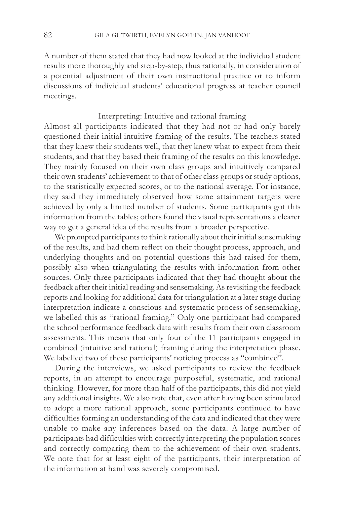A number of them stated that they had now looked at the individual student results more thoroughly and step-by-step, thus rationally, in consideration of a potential adjustment of their own instructional practice or to inform discussions of individual students' educational progress at teacher council meetings.

#### Interpreting: Intuitive and rational framing

Almost all participants indicated that they had not or had only barely questioned their initial intuitive framing of the results. The teachers stated that they knew their students well, that they knew what to expect from their students, and that they based their framing of the results on this knowledge. They mainly focused on their own class groups and intuitively compared their own students' achievement to that of other class groups or study options, to the statistically expected scores, or to the national average. For instance, they said they immediately observed how some attainment targets were achieved by only a limited number of students. Some participants got this information from the tables; others found the visual representations a clearer way to get a general idea of the results from a broader perspective.

We prompted participants to think rationally about their initial sensemaking of the results, and had them reflect on their thought process, approach, and underlying thoughts and on potential questions this had raised for them, possibly also when triangulating the results with information from other sources. Only three participants indicated that they had thought about the feedback after their initial reading and sensemaking. As revisiting the feedback reports and looking for additional data for triangulation at a later stage during interpretation indicate a conscious and systematic process of sensemaking, we labelled this as "rational framing." Only one participant had compared the school performance feedback data with results from their own classroom assessments. This means that only four of the 11 participants engaged in combined (intuitive and rational) framing during the interpretation phase. We labelled two of these participants' noticing process as "combined".

During the interviews, we asked participants to review the feedback reports, in an attempt to encourage purposeful, systematic, and rational thinking. However, for more than half of the participants, this did not yield any additional insights. We also note that, even after having been stimulated to adopt a more rational approach, some participants continued to have difficulties forming an understanding of the data and indicated that they were unable to make any inferences based on the data. A large number of participants had difficulties with correctly interpreting the population scores and correctly comparing them to the achievement of their own students. We note that for at least eight of the participants, their interpretation of the information at hand was severely compromised.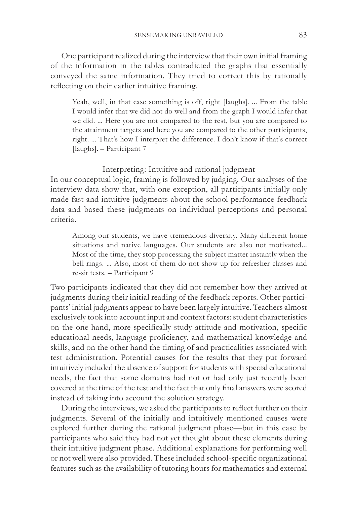One participant realized during the interview that their own initial framing of the information in the tables contradicted the graphs that essentially conveyed the same information. They tried to correct this by rationally reflecting on their earlier intuitive framing.

Yeah, well, in that case something is off, right [laughs]. ... From the table I would infer that we did not do well and from the graph I would infer that we did. ... Here you are not compared to the rest, but you are compared to the attainment targets and here you are compared to the other participants, right. ... That's how I interpret the difference. I don't know if that's correct [laughs]. – Participant 7

Interpreting: Intuitive and rational judgment

In our conceptual logic, framing is followed by judging. Our analyses of the interview data show that, with one exception, all participants initially only made fast and intuitive judgments about the school performance feedback data and based these judgments on individual perceptions and personal criteria.

Among our students, we have tremendous diversity. Many different home situations and native languages. Our students are also not motivated... Most of the time, they stop processing the subject matter instantly when the bell rings. ... Also, most of them do not show up for refresher classes and re-sit tests. – Participant 9

Two participants indicated that they did not remember how they arrived at judgments during their initial reading of the feedback reports. Other participants' initial judgments appear to have been largely intuitive. Teachers almost exclusively took into account input and context factors: student characteristics on the one hand, more specifically study attitude and motivation, specific educational needs, language proficiency, and mathematical knowledge and skills, and on the other hand the timing of and practicalities associated with test administration. Potential causes for the results that they put forward intuitively included the absence of support for students with special educational needs, the fact that some domains had not or had only just recently been covered at the time of the test and the fact that only final answers were scored instead of taking into account the solution strategy.

During the interviews, we asked the participants to reflect further on their judgments. Several of the initially and intuitively mentioned causes were explored further during the rational judgment phase—but in this case by participants who said they had not yet thought about these elements during their intuitive judgment phase. Additional explanations for performing well or not well were also provided. These included school-specific organizational features such as the availability of tutoring hours for mathematics and external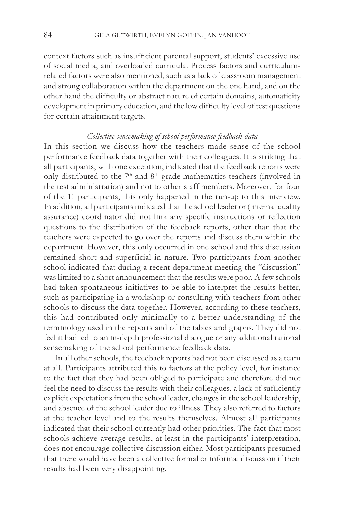context factors such as insufficient parental support, students' excessive use of social media, and overloaded curricula. Process factors and curriculumrelated factors were also mentioned, such as a lack of classroom management and strong collaboration within the department on the one hand, and on the other hand the difficulty or abstract nature of certain domains, automaticity development in primary education, and the low difficulty level of test questions for certain attainment targets.

#### *Collective sensemaking of school performance feedback data*

In this section we discuss how the teachers made sense of the school performance feedback data together with their colleagues. It is striking that all participants, with one exception, indicated that the feedback reports were only distributed to the 7<sup>th</sup> and 8<sup>th</sup> grade mathematics teachers (involved in the test administration) and not to other staff members. Moreover, for four of the 11 participants, this only happened in the run-up to this interview. In addition, all participants indicated that the school leader or (internal quality assurance) coordinator did not link any specific instructions or reflection questions to the distribution of the feedback reports, other than that the teachers were expected to go over the reports and discuss them within the department. However, this only occurred in one school and this discussion remained short and superficial in nature. Two participants from another school indicated that during a recent department meeting the "discussion" was limited to a short announcement that the results were poor. A few schools had taken spontaneous initiatives to be able to interpret the results better, such as participating in a workshop or consulting with teachers from other schools to discuss the data together. However, according to these teachers, this had contributed only minimally to a better understanding of the terminology used in the reports and of the tables and graphs. They did not feel it had led to an in-depth professional dialogue or any additional rational sensemaking of the school performance feedback data.

In all other schools, the feedback reports had not been discussed as a team at all. Participants attributed this to factors at the policy level, for instance to the fact that they had been obliged to participate and therefore did not feel the need to discuss the results with their colleagues, a lack of sufficiently explicit expectations from the school leader, changes in the school leadership, and absence of the school leader due to illness. They also referred to factors at the teacher level and to the results themselves. Almost all participants indicated that their school currently had other priorities. The fact that most schools achieve average results, at least in the participants' interpretation, does not encourage collective discussion either. Most participants presumed that there would have been a collective formal or informal discussion if their results had been very disappointing.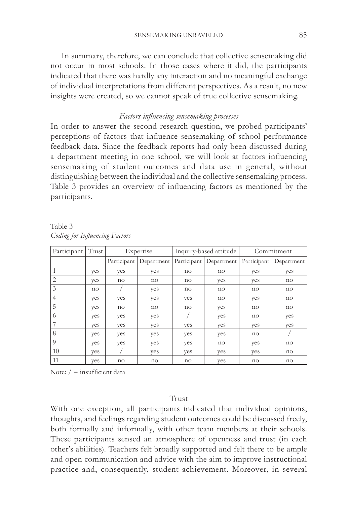In summary, therefore, we can conclude that collective sensemaking did not occur in most schools. In those cases where it did, the participants indicated that there was hardly any interaction and no meaningful exchange of individual interpretations from different perspectives. As a result, no new insights were created, so we cannot speak of true collective sensemaking.

#### *Factors influencing sensemaking processes*

In order to answer the second research question, we probed participants' perceptions of factors that influence sensemaking of school performance feedback data. Since the feedback reports had only been discussed during a department meeting in one school, we will look at factors influencing sensemaking of student outcomes and data use in general, without distinguishing between the individual and the collective sensemaking process. Table 3 provides an overview of influencing factors as mentioned by the participants.

| Participant | Trust | Expertise   |            | Inquiry-based attitude |            | Commitment  |            |
|-------------|-------|-------------|------------|------------------------|------------|-------------|------------|
|             |       | Participant | Department | Participant            | Department | Participant | Department |
| 1           | yes   | yes         | yes        | no                     | no         | yes         | yes        |
| 2           | yes   | no          | no         | no                     | yes        | yes         | no         |
| 3           | no    |             | ves        | no                     | no         | no          | no         |
| 4           | yes   | yes         | yes        | yes                    | no         | yes         | no         |
| 5           | yes   | no          | no         | no                     | yes        | no          | no         |
| 6           | yes   | yes         | yes        |                        | yes        | no          | yes        |
|             | yes   | yes         | yes        | yes                    | yes        | yes         | yes        |
| 8           | yes   | yes         | yes        | yes                    | yes        | no          |            |
| 9           | yes   | yes         | yes        | yes                    | no         | yes         | no         |
| 10          | yes   |             | yes        | yes                    | yes        | yes         | no         |
| 11          | yes   | no          | no         | no                     | yes        | no          | no         |

Table 3 *Coding for Influencing Factors*

Note:  $/ =$  insufficient data

#### Trust

With one exception, all participants indicated that individual opinions, thoughts, and feelings regarding student outcomes could be discussed freely, both formally and informally, with other team members at their schools. These participants sensed an atmosphere of openness and trust (in each other's abilities). Teachers felt broadly supported and felt there to be ample and open communication and advice with the aim to improve instructional practice and, consequently, student achievement. Moreover, in several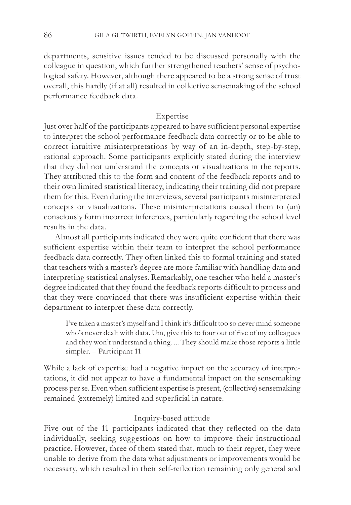departments, sensitive issues tended to be discussed personally with the colleague in question, which further strengthened teachers' sense of psychological safety. However, although there appeared to be a strong sense of trust overall, this hardly (if at all) resulted in collective sensemaking of the school performance feedback data.

## Expertise

Just over half of the participants appeared to have sufficient personal expertise to interpret the school performance feedback data correctly or to be able to correct intuitive misinterpretations by way of an in-depth, step-by-step, rational approach. Some participants explicitly stated during the interview that they did not understand the concepts or visualizations in the reports. They attributed this to the form and content of the feedback reports and to their own limited statistical literacy, indicating their training did not prepare them for this. Even during the interviews, several participants misinterpreted concepts or visualizations. These misinterpretations caused them to (un) consciously form incorrect inferences, particularly regarding the school level results in the data.

Almost all participants indicated they were quite confident that there was sufficient expertise within their team to interpret the school performance feedback data correctly. They often linked this to formal training and stated that teachers with a master's degree are more familiar with handling data and interpreting statistical analyses. Remarkably, one teacher who held a master's degree indicated that they found the feedback reports difficult to process and that they were convinced that there was insufficient expertise within their department to interpret these data correctly.

I've taken a master's myself and I think it's difficult too so never mind someone who's never dealt with data. Um, give this to four out of five of my colleagues and they won't understand a thing. ... They should make those reports a little simpler. – Participant 11

While a lack of expertise had a negative impact on the accuracy of interpretations, it did not appear to have a fundamental impact on the sensemaking process per se. Even when sufficient expertise is present, (collective) sensemaking remained (extremely) limited and superficial in nature.

#### Inquiry-based attitude

Five out of the 11 participants indicated that they reflected on the data individually, seeking suggestions on how to improve their instructional practice. However, three of them stated that, much to their regret, they were unable to derive from the data what adjustments or improvements would be necessary, which resulted in their self-reflection remaining only general and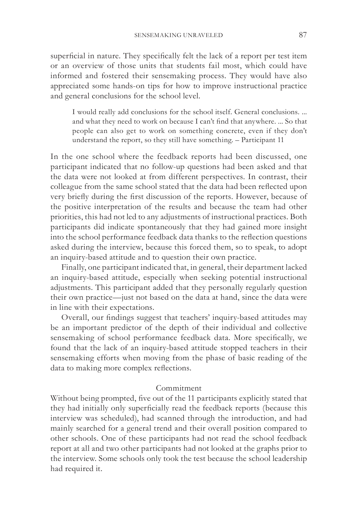superficial in nature. They specifically felt the lack of a report per test item or an overview of those units that students fail most, which could have informed and fostered their sensemaking process. They would have also appreciated some hands-on tips for how to improve instructional practice and general conclusions for the school level.

I would really add conclusions for the school itself. General conclusions. ... and what they need to work on because I can't find that anywhere. ... So that people can also get to work on something concrete, even if they don't understand the report, so they still have something. – Participant 11

In the one school where the feedback reports had been discussed, one participant indicated that no follow-up questions had been asked and that the data were not looked at from different perspectives. In contrast, their colleague from the same school stated that the data had been reflected upon very briefly during the first discussion of the reports. However, because of the positive interpretation of the results and because the team had other priorities, this had not led to any adjustments of instructional practices. Both participants did indicate spontaneously that they had gained more insight into the school performance feedback data thanks to the reflection questions asked during the interview, because this forced them, so to speak, to adopt an inquiry-based attitude and to question their own practice.

Finally, one participant indicated that, in general, their department lacked an inquiry-based attitude, especially when seeking potential instructional adjustments. This participant added that they personally regularly question their own practice—just not based on the data at hand, since the data were in line with their expectations.

Overall, our findings suggest that teachers' inquiry-based attitudes may be an important predictor of the depth of their individual and collective sensemaking of school performance feedback data. More specifically, we found that the lack of an inquiry-based attitude stopped teachers in their sensemaking efforts when moving from the phase of basic reading of the data to making more complex reflections.

#### Commitment

Without being prompted, five out of the 11 participants explicitly stated that they had initially only superficially read the feedback reports (because this interview was scheduled), had scanned through the introduction, and had mainly searched for a general trend and their overall position compared to other schools. One of these participants had not read the school feedback report at all and two other participants had not looked at the graphs prior to the interview. Some schools only took the test because the school leadership had required it.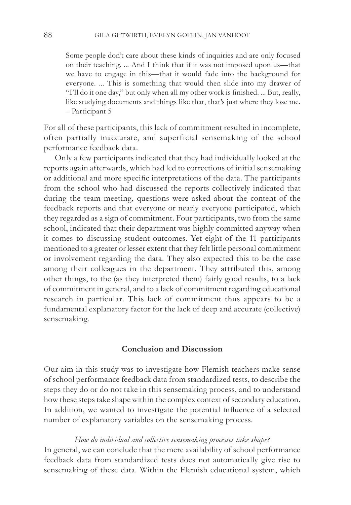Some people don't care about these kinds of inquiries and are only focused on their teaching. ... And I think that if it was not imposed upon us—that we have to engage in this—that it would fade into the background for everyone. ... This is something that would then slide into my drawer of "I'll do it one day," but only when all my other work is finished. ... But, really, like studying documents and things like that, that's just where they lose me. – Participant 5

For all of these participants, this lack of commitment resulted in incomplete, often partially inaccurate, and superficial sensemaking of the school performance feedback data.

Only a few participants indicated that they had individually looked at the reports again afterwards, which had led to corrections of initial sensemaking or additional and more specific interpretations of the data. The participants from the school who had discussed the reports collectively indicated that during the team meeting, questions were asked about the content of the feedback reports and that everyone or nearly everyone participated, which they regarded as a sign of commitment. Four participants, two from the same school, indicated that their department was highly committed anyway when it comes to discussing student outcomes. Yet eight of the 11 participants mentioned to a greater or lesser extent that they felt little personal commitment or involvement regarding the data. They also expected this to be the case among their colleagues in the department. They attributed this, among other things, to the (as they interpreted them) fairly good results, to a lack of commitment in general, and to a lack of commitment regarding educational research in particular. This lack of commitment thus appears to be a fundamental explanatory factor for the lack of deep and accurate (collective) sensemaking.

## **Conclusion and Discussion**

Our aim in this study was to investigate how Flemish teachers make sense of school performance feedback data from standardized tests, to describe the steps they do or do not take in this sensemaking process, and to understand how these steps take shape within the complex context of secondary education. In addition, we wanted to investigate the potential influence of a selected number of explanatory variables on the sensemaking process.

#### *How do individual and collective sensemaking processes take shape?*

In general, we can conclude that the mere availability of school performance feedback data from standardized tests does not automatically give rise to sensemaking of these data. Within the Flemish educational system, which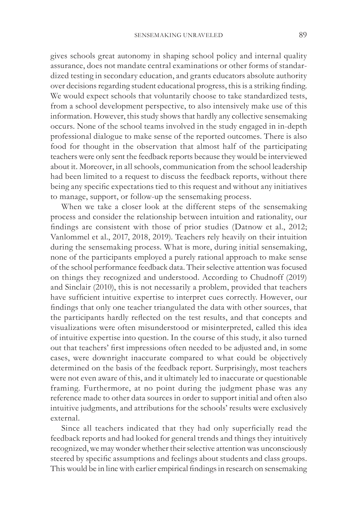gives schools great autonomy in shaping school policy and internal quality assurance, does not mandate central examinations or other forms of standardized testing in secondary education, and grants educators absolute authority over decisions regarding student educational progress, this is a striking finding. We would expect schools that voluntarily choose to take standardized tests, from a school development perspective, to also intensively make use of this information. However, this study shows that hardly any collective sensemaking occurs. None of the school teams involved in the study engaged in in-depth professional dialogue to make sense of the reported outcomes. There is also food for thought in the observation that almost half of the participating teachers were only sent the feedback reports because they would be interviewed about it. Moreover, in all schools, communication from the school leadership had been limited to a request to discuss the feedback reports, without there being any specific expectations tied to this request and without any initiatives to manage, support, or follow-up the sensemaking process.

When we take a closer look at the different steps of the sensemaking process and consider the relationship between intuition and rationality, our findings are consistent with those of prior studies (Datnow et al., 2012; Vanlommel et al., 2017, 2018, 2019). Teachers rely heavily on their intuition during the sensemaking process. What is more, during initial sensemaking, none of the participants employed a purely rational approach to make sense of the school performance feedback data. Their selective attention was focused on things they recognized and understood. According to Chudnoff (2019) and Sinclair (2010), this is not necessarily a problem, provided that teachers have sufficient intuitive expertise to interpret cues correctly. However, our findings that only one teacher triangulated the data with other sources, that the participants hardly reflected on the test results, and that concepts and visualizations were often misunderstood or misinterpreted, called this idea of intuitive expertise into question. In the course of this study, it also turned out that teachers' first impressions often needed to be adjusted and, in some cases, were downright inaccurate compared to what could be objectively determined on the basis of the feedback report. Surprisingly, most teachers were not even aware of this, and it ultimately led to inaccurate or questionable framing. Furthermore, at no point during the judgment phase was any reference made to other data sources in order to support initial and often also intuitive judgments, and attributions for the schools' results were exclusively external.

Since all teachers indicated that they had only superficially read the feedback reports and had looked for general trends and things they intuitively recognized, we may wonder whether their selective attention was unconsciously steered by specific assumptions and feelings about students and class groups. This would be in line with earlier empirical findings in research on sensemaking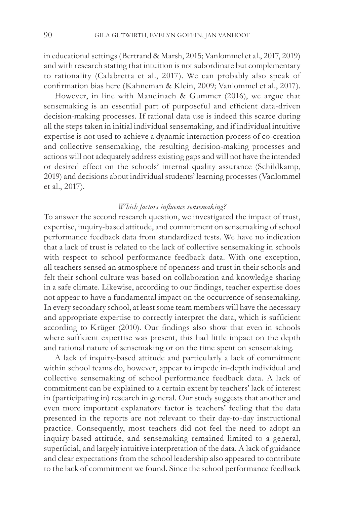in educational settings (Bertrand & Marsh, 2015; Vanlommel et al., 2017, 2019) and with research stating that intuition is not subordinate but complementary to rationality (Calabretta et al., 2017). We can probably also speak of confirmation bias here (Kahneman & Klein, 2009; Vanlommel et al., 2017).

However, in line with Mandinach & Gummer (2016), we argue that sensemaking is an essential part of purposeful and efficient data-driven decision-making processes. If rational data use is indeed this scarce during all the steps taken in initial individual sensemaking, and if individual intuitive expertise is not used to achieve a dynamic interaction process of co-creation and collective sensemaking, the resulting decision-making processes and actions will not adequately address existing gaps and will not have the intended or desired effect on the schools' internal quality assurance (Schildkamp, 2019) and decisions about individual students' learning processes (Vanlommel et al., 2017).

## *Which factors influence sensemaking?*

To answer the second research question, we investigated the impact of trust, expertise, inquiry-based attitude, and commitment on sensemaking of school performance feedback data from standardized tests. We have no indication that a lack of trust is related to the lack of collective sensemaking in schools with respect to school performance feedback data. With one exception, all teachers sensed an atmosphere of openness and trust in their schools and felt their school culture was based on collaboration and knowledge sharing in a safe climate. Likewise, according to our findings, teacher expertise does not appear to have a fundamental impact on the occurrence of sensemaking. In every secondary school, at least some team members will have the necessary and appropriate expertise to correctly interpret the data, which is sufficient according to Krüger (2010). Our findings also show that even in schools where sufficient expertise was present, this had little impact on the depth and rational nature of sensemaking or on the time spent on sensemaking.

A lack of inquiry-based attitude and particularly a lack of commitment within school teams do, however, appear to impede in-depth individual and collective sensemaking of school performance feedback data. A lack of commitment can be explained to a certain extent by teachers' lack of interest in (participating in) research in general. Our study suggests that another and even more important explanatory factor is teachers' feeling that the data presented in the reports are not relevant to their day-to-day instructional practice. Consequently, most teachers did not feel the need to adopt an inquiry-based attitude, and sensemaking remained limited to a general, superficial, and largely intuitive interpretation of the data. A lack of guidance and clear expectations from the school leadership also appeared to contribute to the lack of commitment we found. Since the school performance feedback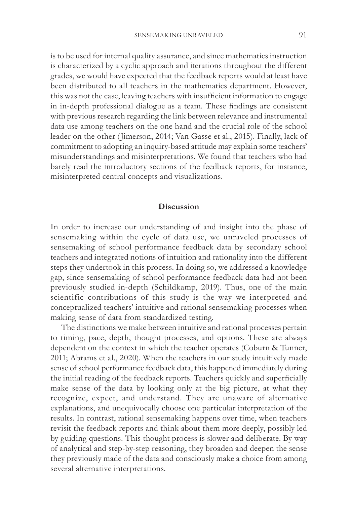is to be used for internal quality assurance, and since mathematics instruction is characterized by a cyclic approach and iterations throughout the different grades, we would have expected that the feedback reports would at least have been distributed to all teachers in the mathematics department. However, this was not the case, leaving teachers with insufficient information to engage in in-depth professional dialogue as a team. These findings are consistent with previous research regarding the link between relevance and instrumental data use among teachers on the one hand and the crucial role of the school leader on the other (Jimerson, 2014; Van Gasse et al., 2015). Finally, lack of commitment to adopting an inquiry-based attitude may explain some teachers' misunderstandings and misinterpretations. We found that teachers who had barely read the introductory sections of the feedback reports, for instance, misinterpreted central concepts and visualizations.

## **Discussion**

In order to increase our understanding of and insight into the phase of sensemaking within the cycle of data use, we unraveled processes of sensemaking of school performance feedback data by secondary school teachers and integrated notions of intuition and rationality into the different steps they undertook in this process. In doing so, we addressed a knowledge gap, since sensemaking of school performance feedback data had not been previously studied in-depth (Schildkamp, 2019). Thus, one of the main scientific contributions of this study is the way we interpreted and conceptualized teachers' intuitive and rational sensemaking processes when making sense of data from standardized testing.

The distinctions we make between intuitive and rational processes pertain to timing, pace, depth, thought processes, and options. These are always dependent on the context in which the teacher operates (Coburn & Tunner, 2011; Abrams et al., 2020). When the teachers in our study intuitively made sense of school performance feedback data, this happened immediately during the initial reading of the feedback reports. Teachers quickly and superficially make sense of the data by looking only at the big picture, at what they recognize, expect, and understand. They are unaware of alternative explanations, and unequivocally choose one particular interpretation of the results. In contrast, rational sensemaking happens over time, when teachers revisit the feedback reports and think about them more deeply, possibly led by guiding questions. This thought process is slower and deliberate. By way of analytical and step-by-step reasoning, they broaden and deepen the sense they previously made of the data and consciously make a choice from among several alternative interpretations.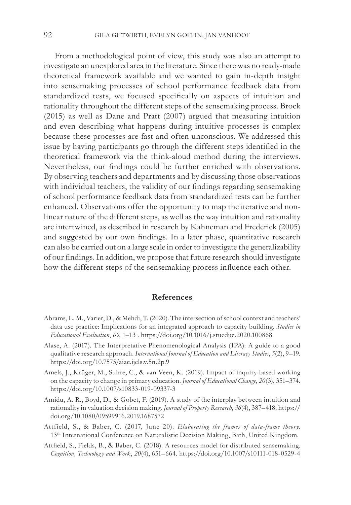From a methodological point of view, this study was also an attempt to investigate an unexplored area in the literature. Since there was no ready-made theoretical framework available and we wanted to gain in-depth insight into sensemaking processes of school performance feedback data from standardized tests, we focused specifically on aspects of intuition and rationality throughout the different steps of the sensemaking process. Brock (2015) as well as Dane and Pratt (2007) argued that measuring intuition and even describing what happens during intuitive processes is complex because these processes are fast and often unconscious. We addressed this issue by having participants go through the different steps identified in the theoretical framework via the think-aloud method during the interviews. Nevertheless, our findings could be further enriched with observations. By observing teachers and departments and by discussing those observations with individual teachers, the validity of our findings regarding sensemaking of school performance feedback data from standardized tests can be further enhanced. Observations offer the opportunity to map the iterative and nonlinear nature of the different steps, as well as the way intuition and rationality are intertwined, as described in research by Kahneman and Frederick (2005) and suggested by our own findings. In a later phase, quantitative research can also be carried out on a large scale in order to investigate the generalizability of our findings. In addition, we propose that future research should investigate how the different steps of the sensemaking process influence each other.

#### **References**

- Abrams, L. M., Varier, D., & Mehdi, T. (2020). The intersection of school context and teachers' data use practice: Implications for an integrated approach to capacity building. *Studies in Educational Evaluation*, *69*, 1–13 . https://doi.org/10.1016/j.stueduc.2020.100868
- Alase, A. (2017). The Interpretative Phenomenological Analysis (IPA): A guide to a good qualitative research approach. *International Journal of Education and Literacy Studies*, *5*(2), 9–19. https://doi.org/10.7575/aiac.ijels.v.5n.2p.9
- Amels, J., Krüger, M., Suhre, C., & van Veen, K. (2019). Impact of inquiry-based working on the capacity to change in primary education. *Journal of Educational Change*, *20*(3), 351–374. https://doi.org/10.1007/s10833-019-09337-3
- Amidu, A. R., Boyd, D., & Gobet, F. (2019). A study of the interplay between intuition and rationality in valuation decision making. *Journal of Property Research*, *36*(4), 387–418. https:// doi.org/10.1080/09599916.2019.1687572
- Attfield, S., & Baber, C. (2017, June 20). *Elaborating the frames of data-frame theory*. 13<sup>th</sup> International Conference on Naturalistic Decision Making, Bath, United Kingdom.
- Attfield, S., Fields, B., & Baber, C. (2018). A resources model for distributed sensemaking. *Cognition, Technolog y and Work*, *20*(4), 651–664. https://doi.org/10.1007/s10111-018-0529-4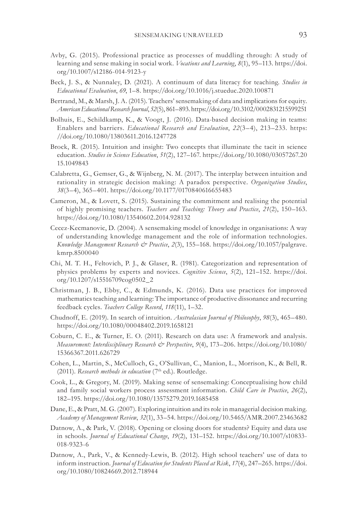- Avby, G. (2015). Professional practice as processes of muddling through: A study of learning and sense making in social work. *Vocations and Learning*, *8*(1), 95–113. https://doi. org/10.1007/s12186-014-9123-y
- Beck, J. S., & Nunnaley, D. (2021). A continuum of data literacy for teaching. *Studies in Educational Evaluation*, *69*, 1–8. https://doi.org/10.1016/j.stueduc.2020.100871
- Bertrand, M., & Marsh, J. A. (2015). Teachers' sensemaking of data and implications for equity. *American Educational Research Journal*, *52*(5), 861–893. https://doi.org/10.3102/0002831215599251
- Bolhuis, E., Schildkamp, K., & Voogt, J. (2016). Data-based decision making in teams: Enablers and barriers. *Educational Research and Evaluation*, *22*(3–4), 213–233. https: //doi.org/10.1080/13803611.2016.1247728
- Brock, R. (2015). Intuition and insight: Two concepts that illuminate the tacit in science education. *Studies in Science Education*, *51*(2), 127–167. https://doi.org/10.1080/03057267.20 15.1049843
- Calabretta, G., Gemser, G., & Wijnberg, N. M. (2017). The interplay between intuition and rationality in strategic decision making: A paradox perspective. *Organization Studies*, *38*(3–4), 365–401. https://doi.org/10.1177/0170840616655483
- Cameron, M., & Lovett, S. (2015). Sustaining the commitment and realising the potential of highly promising teachers. *Teachers and Teaching: Theory and Practice*, *21*(2), 150–163. https://doi.org/10.1080/13540602.2014.928132
- Cecez-Kecmanovic, D. (2004). A sensemaking model of knowledge in organisations: A way of understanding knowledge management and the role of information technologies. *Knowledge Management Research & Practice*, *2*(3), 155–168. https://doi.org/10.1057/palgrave. kmrp.8500040
- Chi, M. T. H., Feltovich, P. J., & Glaser, R. (1981). Categorization and representation of physics problems by experts and novices. *Cognitive Science*, *5*(2), 121–152. https://doi. org/10.1207/s15516709cog0502\_2
- Christman, J. B., Ebby, C., & Edmunds, K. (2016). Data use practices for improved mathematics teaching and learning: The importance of productive dissonance and recurring feedback cycles. *Teachers College Record*, *118*(11), 1–32.
- Chudnoff, E. (2019). In search of intuition. *Australasian Journal of Philosophy*, *98*(3), 465–480. https://doi.org/10.1080/00048402.2019.1658121
- Coburn, C. E., & Turner, E. O. (2011). Research on data use: A framework and analysis. *Measurement: Interdisciplinary Research & Perspective*, *9*(4), 173–206. https://doi.org/10.1080/ 15366367.2011.626729
- Cohen, L., Martin, S., McCulloch, G., O'Sullivan, C., Manion, L., Morrison, K., & Bell, R. (2011). *Research methods in education* (7<sup>th</sup> ed.). Routledge.
- Cook, L., & Gregory, M. (2019). Making sense of sensemaking: Conceptualising how child and family social workers process assessment information. *Child Care in Practice*, *26*(2), 182–195. https://doi.org/10.1080/13575279.2019.1685458
- Dane, E., & Pratt, M. G. (2007). Exploring intuition and its role in managerial decision making. *Academy of Management Review*, *32*(1), 33–54. https://doi.org/10.5465/AMR.2007.23463682
- Datnow, A., & Park, V. (2018). Opening or closing doors for students? Equity and data use in schools. *Journal of Educational Change*, *19*(2), 131–152. https://doi.org/10.1007/s10833- 018-9323-6
- Datnow, A., Park, V., & Kennedy-Lewis, B. (2012). High school teachers' use of data to inform instruction. *Journal of Education for Students Placed at Risk*, *17*(4), 247–265. https://doi. org/10.1080/10824669.2012.718944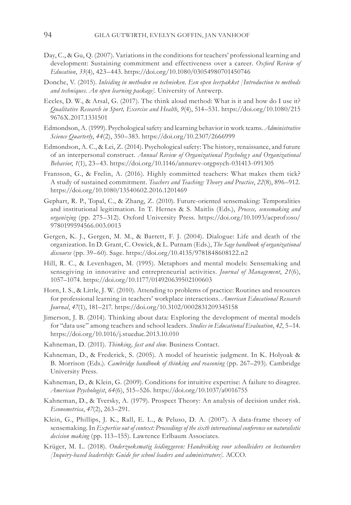- Day, C., & Gu, Q. (2007). Variations in the conditions for teachers' professional learning and development: Sustaining commitment and effectiveness over a career. *Oxford Review of Education*, *33*(4), 423–443. https://doi.org/10.1080/03054980701450746
- Donche, V. (2015). *Inleiding in methoden en technieken. Een open leerpakket [Introduction to methods and techniques. An open learning package].* University of Antwerp.
- Eccles, D. W., & Arsal, G. (2017). The think aloud method: What is it and how do I use it? *Qualitative Research in Sport, Exercise and Health*, *9*(4), 514–531. https://doi.org/10.1080/215 9676X.2017.1331501
- Edmondson, A. (1999). Psychological safety and learning behavior in work teams. *Administrative Science Quarterly*, *44*(2), 350–383. https://doi.org/10.2307/2666999
- Edmondson, A. C., & Lei, Z. (2014). Psychological safety: The history, renaissance, and future of an interpersonal construct. *Annual Review of Organizational Psychology and Organizational Behavior*, *1*(1), 23–43. https://doi.org/10.1146/annurev-orgpsych-031413-091305
- Fransson, G., & Frelin, A. (2016). Highly committed teachers: What makes them tick? A study of sustained commitment. *Teachers and Teaching: Theory and Practice*, *22*(8), 896–912. https://doi.org/10.1080/13540602.2016.1201469
- Gephart, R. P., Topal, C., & Zhang, Z. (2010). Future-oriented sensemaking: Temporalities and institutional legitimation. In T. Hernes & S. Maitlis (Eds.), *Process, sensemaking and organizing* (pp. 275–312). Oxford University Press. https://doi.org/10.1093/acprof:oso/ 9780199594566.003.0013
- Gergen, K. J., Gergen, M. M., & Barrett, F. J. (2004). Dialogue: Life and death of the organization. In D. Grant, C. Oswick, & L. Putnam (Eds.), *The Sage handbook of organizational discourse* (pp. 39–60). Sage. https://doi.org/10.4135/9781848608122.n2
- Hill, R. C., & Levenhagen, M. (1995). Metaphors and mental models: Sensemaking and sensegiving in innovative and entrepreneurial activities. *Journal of Management*, *21*(6), 1057–1074. https://doi.org/10.1177/014920639502100603
- Horn, I. S., & Little, J. W. (2010). Attending to problems of practice: Routines and resources for professional learning in teachers' workplace interactions. *American Educational Research Journal*, *47*(1), 181–217. https://doi.org/10.3102/0002831209345158
- Jimerson, J. B. (2014). Thinking about data: Exploring the development of mental models for "data use" among teachers and school leaders. *Studies in Educational Evaluation*, *42*, 5–14. https://doi.org/10.1016/j.stueduc.2013.10.010
- Kahneman, D. (2011). *Thinking, fast and slow*. Business Contact.
- Kahneman, D., & Frederick, S. (2005). A model of heuristic judgment. In K. Holyoak & B. Morrison (Eds.). *Cambridge handbook of thinking and reasoning* (pp. 267–293). Cambridge University Press.
- Kahneman, D., & Klein, G. (2009). Conditions for intuitive expertise: A failure to disagree. *American Psychologist*, *64*(6), 515–526. https://doi.org/10.1037/a0016755
- Kahneman, D., & Tversky, A. (1979). Prospect Theory: An analysis of decision under risk. *Econometrica*, *47*(2), 263–291.
- Klein, G., Phillips, J. K., Rall, E. L., & Peluso, D. A. (2007). A data-frame theory of sensemaking. In *Expertise out of context: Proceedings of the sixth international conference on naturalistic decision making* (pp. 113–155). Lawrence Erlbaum Associates.
- Krüger, M. L. (2018). *Onderzoeksmatig leidinggeven: Handreiking voor schoolleiders en bestuurders [Inquiry-based leadership: Guide for school leaders and administrators].* ACCO.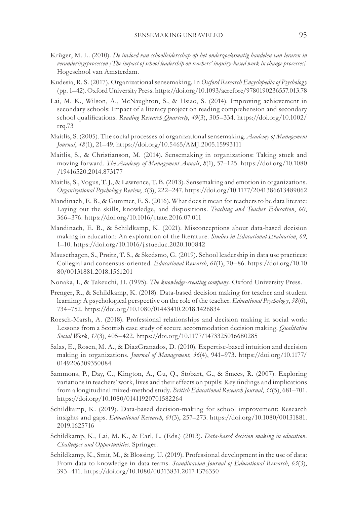- Krüger, M. L. (2010). *De invloed van schoolleiderschap op het onderzoeksmatig handelen van leraren in veranderingsprocessen [The impact of school leadership on teachers' inquiry-based work in change processes].*  Hogeschool van Amsterdam.
- Kudesia, R. S. (2017). Organizational sensemaking. In *Oxford Research Encyclopedia of Psycholog y* (pp. 1–42). Oxford University Press. https://doi.org/10.1093/acrefore/9780190236557.013.78
- Lai, M. K., Wilson, A., McNaughton, S., & Hsiao, S. (2014). Improving achievement in secondary schools: Impact of a literacy project on reading comprehension and secondary school qualifications. *Reading Research Quarterly*, *49*(3), 305–334. https://doi.org/10.1002/ rrq.73
- Maitlis, S. (2005). The social processes of organizational sensemaking. *Academy of Management Journal*, *48*(1), 21–49. https://doi.org/10.5465/AMJ.2005.15993111
- Maitlis, S., & Christianson, M. (2014). Sensemaking in organizations: Taking stock and moving forward. *The Academy of Management Annals*, *8*(1), 57–125. https://doi.org/10.1080 /19416520.2014.873177
- Maitlis, S., Vogus, T. J., & Lawrence, T. B. (2013). Sensemaking and emotion in organizations. *Organizational Psycholog y Review*, *3*(3), 222–247. https://doi.org/10.1177/2041386613489062
- Mandinach, E. B., & Gummer, E. S. (2016). What does it mean for teachers to be data literate: Laying out the skills, knowledge, and dispositions. *Teaching and Teacher Education*, *60*, 366–376. https://doi.org/10.1016/j.tate.2016.07.011
- Mandinach, E. B., & Schildkamp, K. (2021). Misconceptions about data-based decision making in education: An exploration of the literature. *Studies in Educational Evaluation*, *69*, 1–10. https://doi.org/10.1016/j.stueduc.2020.100842
- Mausethagen, S., Prøitz, T. S., & Skedsmo, G. (2019). School leadership in data use practices: Collegial and consensus-oriented. *Educational Research*, *61*(1), 70–86. https://doi.org/10.10 80/00131881.2018.1561201
- Nonaka, I., & Takeuchi, H. (1995). *The knowledge-creating company.* Oxford University Press.
- Prenger, R., & Schildkamp, K. (2018). Data-based decision making for teacher and student learning: A psychological perspective on the role of the teacher. *Educational Psycholog y*, *38*(6), 734–752. https://doi.org/10.1080/01443410.2018.1426834
- Roesch-Marsh, A. (2018). Professional relationships and decision making in social work: Lessons from a Scottish case study of secure accommodation decision making. *Qualitative Social Work*, *17*(3), 405–422. https://doi.org/10.1177/1473325016680285
- Salas, E., Rosen, M. A., & DiazGranados, D. (2010). Expertise-based intuition and decision making in organizations. *Journal of Management*, *36*(4), 941–973. https://doi.org/10.1177/ 0149206309350084
- Sammons, P., Day, C., Kington, A., Gu, Q., Stobart, G., & Smees, R. (2007). Exploring variations in teachers' work, lives and their effects on pupils: Key findings and implications from a longitudinal mixed-method study. *British Educational Research Journal*, *33*(5), 681–701. https://doi.org/10.1080/01411920701582264
- Schildkamp, K. (2019). Data-based decision-making for school improvement: Research insights and gaps. *Educational Research*, *61*(3), 257–273. https://doi.org/10.1080/00131881. 2019.1625716
- Schildkamp, K., Lai, M. K., & Earl, L. (Eds.) (2013). *Data-based decision making in education. Challenges and Opportunities*. Springer.
- Schildkamp, K., Smit, M., & Blossing, U. (2019). Professional development in the use of data: From data to knowledge in data teams. *Scandinavian Journal of Educational Research*, *63*(3), 393–411. https://doi.org/10.1080/00313831.2017.1376350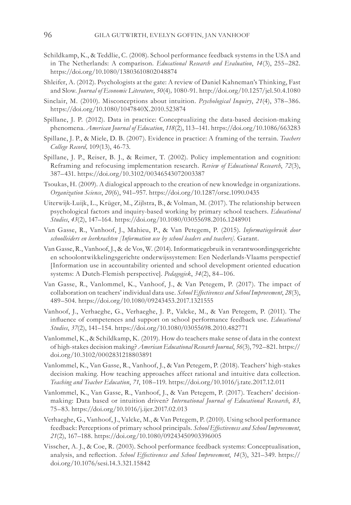- Schildkamp, K., & Teddlie, C. (2008). School performance feedback systems in the USA and in The Netherlands: A comparison. *Educational Research and Evaluation*, *14*(3), 255–282. https://doi.org/10.1080/13803610802048874
- Shleifer, A. (2012). Psychologists at the gate: A review of Daniel Kahneman's Thinking, Fast and Slow. *Journal of Economic Literature*, *50*(4)*,* 1080-91. http://doi.org/10.1257/jel.50.4.1080
- Sinclair, M. (2010). Misconceptions about intuition. *Psychological Inquiry*, *21*(4), 378–386. https://doi.org/10.1080/1047840X.2010.523874
- Spillane, J. P. (2012). Data in practice: Conceptualizing the data-based decision-making phenomena. *American Journal of Education*, *118*(2), 113–141. https://doi.org/10.1086/663283
- Spillane, J. P., & Miele, D. B. (2007). Evidence in practice: A framing of the terrain. *Teachers College Record,* 109(13), 46-73.
- Spillane, J. P., Reiser, B. J., & Reimer, T. (2002). Policy implementation and cognition: Reframing and refocusing implementation research. *Review of Educational Research*, *72*(3), 387–431. https://doi.org/10.3102/00346543072003387
- Tsoukas, H. (2009). A dialogical approach to the creation of new knowledge in organizations. *Organization Science*, *20*(6), 941–957. https://doi.org/10.1287/orsc.1090.0435
- Uiterwijk-Luijk, L., Krüger, M., Zijlstra, B., & Volman, M. (2017). The relationship between psychological factors and inquiry-based working by primary school teachers. *Educational Studies*, *43*(2), 147–164. https://doi.org/10.1080/03055698.2016.1248901
- Van Gasse, R., Vanhoof, J., Mahieu, P., & Van Petegem, P. (2015). *Informatiegebruik door schoolleiders en leerkrachten [Information use by school leaders and teachers].* Garant.
- Van Gasse, R., Vanhoof, J., & de Vos, W. (2014). Informatiegebruik in verantwoordingsgerichte en schoolontwikkelingsgerichte onderwijssystemen: Een Nederlands-Vlaams perspectief [Information use in accountability oriented and school development oriented education systems: A Dutch-Flemish perspective]. *Pedagogiek*, *34*(2), 84–106.
- Van Gasse, R., Vanlommel, K., Vanhoof, J., & Van Petegem, P. (2017). The impact of collaboration on teachers' individual data use. *School Effectiveness and School Improvement*, *28*(3), 489–504. https://doi.org/10.1080/09243453.2017.1321555
- Vanhoof, J., Verhaeghe, G., Verhaeghe, J. P., Valcke, M., & Van Petegem, P. (2011). The influence of competences and support on school performance feedback use. *Educational Studies*, *37*(2), 141–154. https://doi.org/10.1080/03055698.2010.482771
- Vanlommel, K., & Schildkamp, K. (2019). How do teachers make sense of data in the context of high-stakes decision making? *American Educational Research Journal*, *56*(3), 792–821. https:// doi.org/10.3102/0002831218803891
- Vanlommel, K., Van Gasse, R., Vanhoof, J., & Van Petegem, P. (2018). Teachers' high-stakes decision making. How teaching approaches affect rational and intuitive data collection. *Teaching and Teacher Education*, *71*, 108–119. https://doi.org/10.1016/j.tate.2017.12.011
- Vanlommel, K., Van Gasse, R., Vanhoof, J., & Van Petegem, P. (2017). Teachers' decisionmaking: Data based or intuition driven? *International Journal of Educational Research*, *83*, 75–83. https://doi.org/10.1016/j.ijer.2017.02.013
- Verhaeghe, G., Vanhoof, J., Valcke, M., & Van Petegem, P. (2010). Using school performance feedback: Perceptions of primary school principals. *School Effectiveness and School Improvement*, *21*(2), 167–188. https://doi.org/10.1080/09243450903396005
- Visscher, A. J., & Coe, R. (2003). School performance feedback systems: Conceptualisation, analysis, and reflection. *School Effectiveness and School Improvement*, *14*(3), 321–349. https:// doi.org/10.1076/sesi.14.3.321.15842